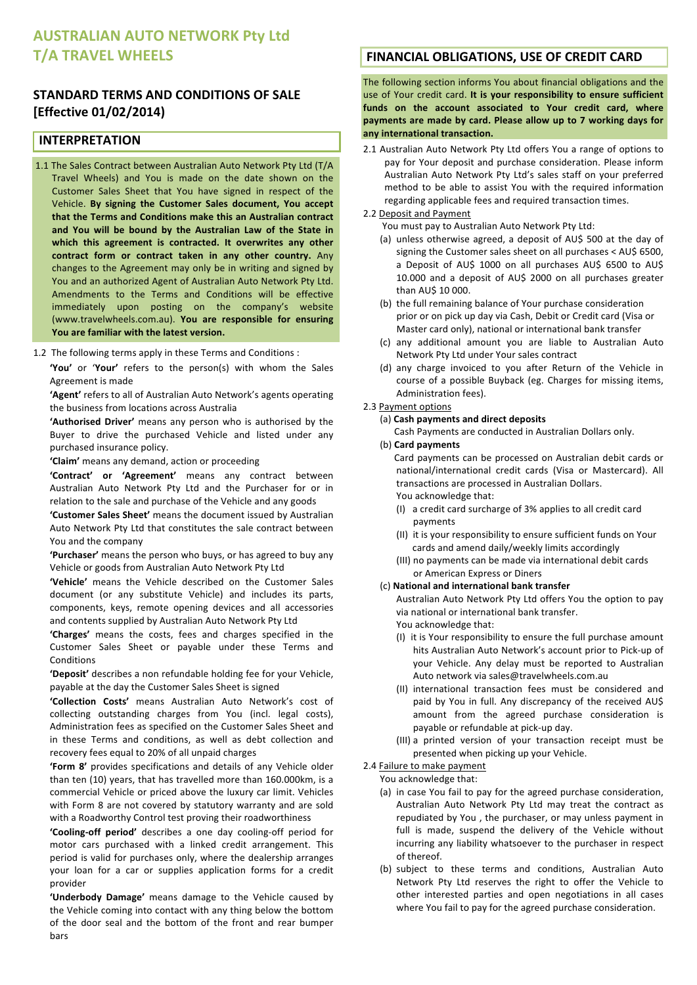# **AUSTRALIAN AUTO NETWORK Pty Ltd T/A)TRAVEL)WHEELS**

# **STANDARD TERMS AND CONDITIONS OF SALE [Effective)01/02/2014)**

### **INTERPRETATION**

- 1.1 The Sales Contract between Australian Auto Network Pty Ltd (T/A Travel Wheels) and You is made on the date shown on the Customer Sales Sheet that You have signed in respect of the Vehicle.# **By) signing) the) Customer) Sales) document,) You) accept)** that the Terms and Conditions make this an Australian contract **and) You) will) be) bound) by) the) Australian) Law) of) the) State) in)** which this agreement is contracted. It overwrites any other contract form or contract taken in any other country. Any changes to the Agreement may only be in writing and signed by You and an authorized Agent of Australian Auto Network Pty Ltd. Amendments to the Terms and Conditions will be effective immediately upon posting on the company's website (www.travelwheels.com.au). You are responsible for ensuring You are familiar with the latest version.
- 1.2 The following terms apply in these Terms and Conditions :

'You' or 'Your' refers to the person(s) with whom the Sales Agreement is made

'Agent' refers to all of Australian Auto Network's agents operating the business from locations across Australia

'Authorised Driver' means any person who is authorised by the Buyer to drive the purchased Vehicle and listed under any purchased insurance policy.

'Claim' means any demand, action or proceeding

'Contract' or 'Agreement' means any contract between Australian Auto Network Pty Ltd and the Purchaser for or in relation to the sale and purchase of the Vehicle and any goods

'Customer Sales Sheet' means the document issued by Australian Auto Network Pty Ltd that constitutes the sale contract between You and the company

'Purchaser' means the person who buys, or has agreed to buy any Vehicle or goods from Australian Auto Network Pty Ltd

'Vehicle' means the Vehicle described on the Customer Sales document (or any substitute Vehicle) and includes its parts, components, keys, remote opening devices and all accessories and contents supplied by Australian Auto Network Pty Ltd

'Charges' means the costs, fees and charges specified in the Customer Sales Sheet or payable under these Terms and Conditions

'Deposit' describes a non refundable holding fee for your Vehicle, payable at the day the Customer Sales Sheet is signed

'Collection Costs' means Australian Auto Network's cost of collecting outstanding charges from You (incl. legal costs), Administration fees as specified on the Customer Sales Sheet and in these Terms and conditions, as well as debt collection and recovery fees equal to 20% of all unpaid charges

'Form 8' provides specifications and details of any Vehicle older than ten (10) years, that has travelled more than  $160.000$ km, is a commercial Vehicle or priced above the luxury car limit. Vehicles with Form 8 are not covered by statutory warranty and are sold with a Roadworthy Control test proving their roadworthiness

'Cooling-off period' describes a one day cooling-off period for motor cars purchased with a linked credit arrangement. This period is valid for purchases only, where the dealership arranges your loan for a car or supplies application forms for a credit provider

'Underbody Damage' means damage to the Vehicle caused by the Vehicle coming into contact with any thing below the bottom of the door seal and the bottom of the front and rear bumper bars

# **FINANCIAL OBLIGATIONS, USE OF CREDIT CARD**

The following section informs You about financial obligations and the use of Your credit card. It is your responsibility to ensure sufficient funds on the account associated to Your credit card, where payments are made by card. Please allow up to 7 working days for any international transaction.

2.1 Australian Auto Network Pty Ltd offers You a range of options to pay for Your deposit and purchase consideration. Please inform Australian Auto Network Pty Ltd's sales staff on vour preferred method to be able to assist You with the required information regarding applicable fees and required transaction times.

#### 2.2 Deposit and Payment

You must pay to Australian Auto Network Pty Ltd:

- (a) unless otherwise agreed, a deposit of AU\$ 500 at the day of signing the Customer sales sheet on all purchases  $<$  AU\$ 6500, a Deposit of AU\$ 1000 on all purchases AU\$ 6500 to AU\$ 10.000 and a deposit of AU\$ 2000 on all purchases greater than AU\$ 10 000.
- (b) the full remaining balance of Your purchase consideration prior or on pick up day via Cash, Debit or Credit card (Visa or Master card only), national or international bank transfer
- (c) any additional amount you are liable to Australian Auto Network Pty Ltd under Your sales contract
- (d) any charge invoiced to you after Return of the Vehicle in course of a possible Buyback (eg. Charges for missing items, Administration fees).

#### 2.3 Payment options

(a) Cash payments and direct deposits

Cash Payments are conducted in Australian Dollars only.

# (b) Card payments

Card payments can be processed on Australian debit cards or national/international credit cards (Visa or Mastercard). All transactions are processed in Australian Dollars.

You acknowledge that:

- (I) a credit card surcharge of  $3%$  applies to all credit card payments
- (II) it is your responsibility to ensure sufficient funds on Your cards and amend daily/weekly limits accordingly
- (III) no payments can be made via international debit cards or American Express or Diners

#### (c)#**National)and)international)bank)transfer**

Australian Auto Network Pty Ltd offers You the option to pay via national or international bank transfer. You acknowledge that:

- (I) it is Your responsibility to ensure the full purchase amount hits Australian Auto Network's account prior to Pick-up of your Vehicle. Any delay must be reported to Australian Auto network via sales@travelwheels.com.au
- (II) international transaction fees must be considered and paid by You in full. Any discrepancy of the received AU\$ amount from the agreed purchase consideration is payable or refundable at pick-up day.
- (III) a printed version of your transaction receipt must be presented when picking up your Vehicle.

#### 2.4 Failure to make payment

You acknowledge that:

- (a) in case You fail to pay for the agreed purchase consideration, Australian Auto Network Pty Ltd may treat the contract as repudiated by You, the purchaser, or may unless payment in full is made, suspend the delivery of the Vehicle without incurring any liability whatsoever to the purchaser in respect of thereof.
- (b) subject to these terms and conditions, Australian Auto Network Pty Ltd reserves the right to offer the Vehicle to other interested parties and open negotiations in all cases where You fail to pay for the agreed purchase consideration.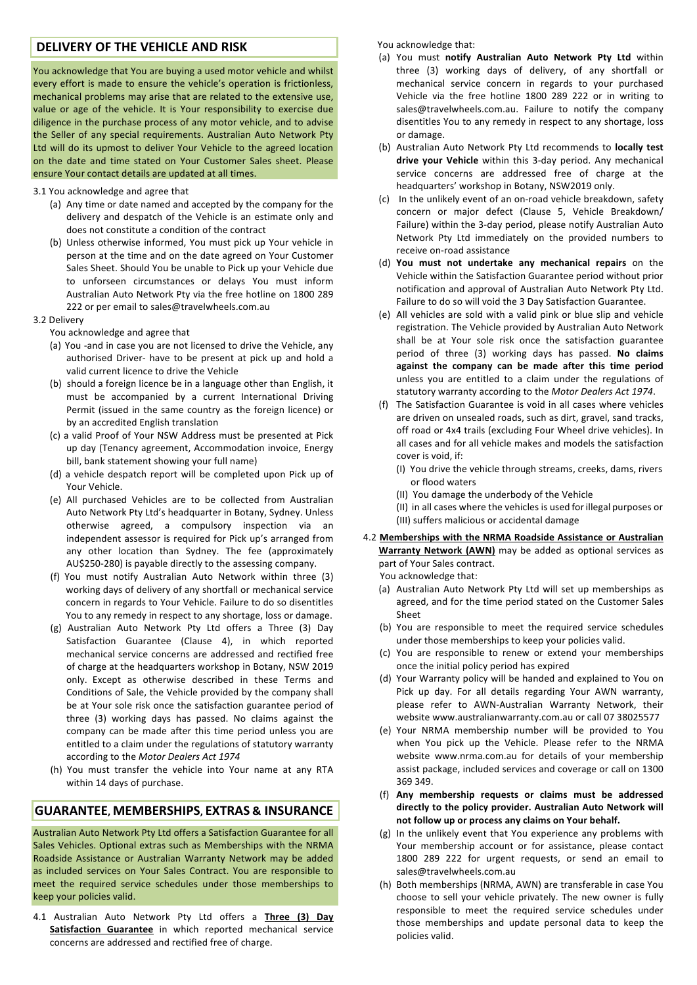# **DELIVERY OF THE VEHICLE AND RISK**

You acknowledge that You are buying a used motor vehicle and whilst every effort is made to ensure the vehicle's operation is frictionless, mechanical problems may arise that are related to the extensive use, value or age of the vehicle. It is Your responsibility to exercise due diligence in the purchase process of any motor vehicle, and to advise the Seller of any special requirements. Australian Auto Network Pty Ltd will do its upmost to deliver Your Vehicle to the agreed location on the date and time stated on Your Customer Sales sheet. Please ensure Your contact details are updated at all times.

#### 3.1 You acknowledge and agree that

- (a) Any time or date named and accepted by the company for the delivery and despatch of the Vehicle is an estimate only and does not constitute a condition of the contract
- (b) Unless otherwise informed, You must pick up Your vehicle in person at the time and on the date agreed on Your Customer Sales Sheet. Should You be unable to Pick up your Vehicle due to unforseen circumstances or delays You must inform Australian Auto Network Pty via the free hotline on 1800 289 222 or per email to sales@travelwheels.com.au

#### 3.2 Delivery

You acknowledge and agree that

- (a) You -and in case you are not licensed to drive the Vehicle, any authorised Driver- have to be present at pick up and hold a valid current licence to drive the Vehicle
- (b) should a foreign licence be in a language other than English, it must be accompanied by a current International Driving Permit (issued in the same country as the foreign licence) or by an accredited English translation
- (c) a valid Proof of Your NSW Address must be presented at Pick up day (Tenancy agreement, Accommodation invoice, Energy bill, bank statement showing your full name)
- $(d)$  a vehicle despatch report will be completed upon Pick up of Your Vehicle
- (e) All purchased Vehicles are to be collected from Australian Auto Network Pty Ltd's headquarter in Botany, Sydney. Unless otherwise agreed, a compulsory inspection via an independent assessor is required for Pick up's arranged from any other location than Sydney. The fee (approximately AU\$250-280) is payable directly to the assessing company.
- (f) You must notify Australian Auto Network within three (3) working days of delivery of any shortfall or mechanical service concern in regards to Your Vehicle. Failure to do so disentitles You to any remedy in respect to any shortage, loss or damage.
- (g) Australian Auto Network Pty Ltd offers a Three (3) Day Satisfaction Guarantee (Clause 4), in which reported mechanical service concerns are addressed and rectified free of charge at the headquarters workshop in Botany, NSW 2019 only. Except as otherwise described in these Terms and Conditions of Sale, the Vehicle provided by the company shall be at Your sole risk once the satisfaction guarantee period of three (3) working days has passed. No claims against the company can be made after this time period unless you are entitled to a claim under the regulations of statutory warranty according to the *Motor Dealers Act 1974*
- (h) You must transfer the vehicle into Your name at any RTA within 14 days of purchase.

### **GUARANTEE, MEMBERSHIPS, EXTRAS & INSURANCE**

Australian Auto Network Pty Ltd offers a Satisfaction Guarantee for all Sales Vehicles. Optional extras such as Memberships with the NRMA Roadside Assistance or Australian Warranty Network may be added as included services on Your Sales Contract. You are responsible to meet the required service schedules under those memberships to keep your policies valid.

4.1 Australian Auto Network Pty Ltd offers a Three (3) Day Satisfaction Guarantee in which reported mechanical service concerns are addressed and rectified free of charge.

You acknowledge that:

- (a) You must notify Australian Auto Network Pty Ltd within three (3) working days of delivery, of any shortfall or mechanical service concern in regards to your purchased Vehicle via the free hotline 1800 289 222 or in writing to sales@travelwheels.com.au. Failure to notify the company disentitles You to any remedy in respect to any shortage, loss or damage.
- (b) Australian Auto Network Pty Ltd recommends to **locally test** drive your Vehicle within this 3-day period. Any mechanical service concerns are addressed free of charge at the headquarters' workshop in Botany, NSW2019 only.
- (c) In the unlikely event of an on-road vehicle breakdown, safety concern or major defect (Clause 5, Vehicle Breakdown/ Failure) within the 3-day period, please notify Australian Auto Network Pty Ltd immediately on the provided numbers to receive on-road assistance
- (d) You must not undertake any mechanical repairs on the Vehicle within the Satisfaction Guarantee period without prior notification and approval of Australian Auto Network Pty Ltd. Failure to do so will void the 3 Day Satisfaction Guarantee.
- (e) All vehicles are sold with a valid pink or blue slip and vehicle registration. The Vehicle provided by Australian Auto Network shall be at Your sole risk once the satisfaction guarantee period of three (3) working days has passed. No claims **against) the) company) can) be) made) after) this) time) period** unless you are entitled to a claim under the regulations of statutory warranty according to the *Motor Dealers Act 1974*.
- (f) The Satisfaction Guarantee is void in all cases where vehicles are driven on unsealed roads, such as dirt, gravel, sand tracks, off road or 4x4 trails (excluding Four Wheel drive vehicles). In all cases and for all vehicle makes and models the satisfaction cover is void, if:
	- (I) You drive the vehicle through streams, creeks, dams, rivers or flood waters
	- (II) You damage the underbody of the Vehicle

(II) in all cases where the vehicles is used for illegal purposes or (III) suffers malicious or accidental damage

- 4.2 Memberships with the NRMA Roadside Assistance or Australian **Warranty Network (AWN)** may be added as optional services as part of Your Sales contract.
	- You acknowledge that:
	- (a) Australian Auto Network Pty Ltd will set up memberships as agreed, and for the time period stated on the Customer Sales Sheet
	- (b) You are responsible to meet the required service schedules under those memberships to keep your policies valid.
	- (c) You are responsible to renew or extend your memberships once the initial policy period has expired
	- (d) Your Warranty policy will be handed and explained to You on Pick up day. For all details regarding Your AWN warranty, please refer to AWN-Australian Warranty Network, their website www.australianwarranty.com.au or call 07 38025577
	- (e) Your NRMA membership number will be provided to You when You pick up the Vehicle. Please refer to the NRMA website www.nrma.com.au for details of your membership assist package, included services and coverage or call on 1300 369 349.
	- (f) **Any) membership) requests) or) claims) must) be) addressed)** directly to the policy provider. Australian Auto Network will not follow up or process any claims on Your behalf.
	- (g) In the unlikely event that You experience any problems with Your membership account or for assistance, please contact 1800 289 222 for urgent requests, or send an email to sales@travelwheels.com.au
	- (h) Both memberships (NRMA, AWN) are transferable in case You choose to sell your vehicle privately. The new owner is fully responsible to meet the required service schedules under those memberships and update personal data to keep the policies valid.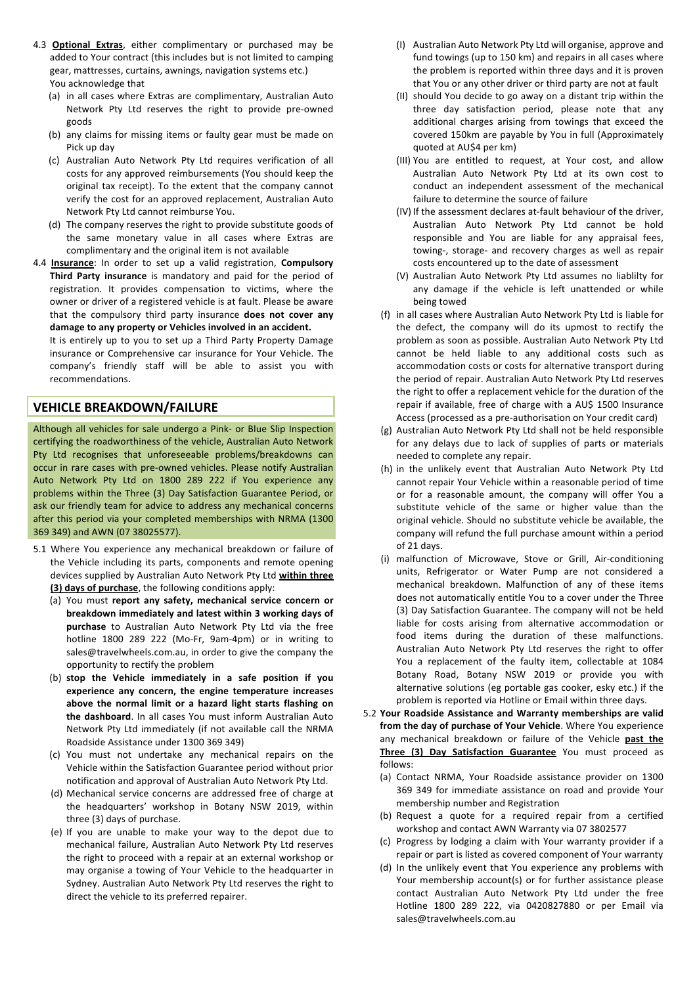- 4.3 **Optional Extras**, either complimentary or purchased may be added to Your contract (this includes but is not limited to camping gear, mattresses, curtains, awnings, navigation systems etc.) You acknowledge that
	- (a) in all cases where Extras are complimentary, Australian Auto Network Pty Ltd reserves the right to provide pre-owned goods
	- (b) any claims for missing items or faulty gear must be made on Pick up day
	- (c) Australian Auto Network Pty Ltd requires verification of all costs for any approved reimbursements (You should keep the original tax receipt). To the extent that the company cannot verify the cost for an approved replacement, Australian Auto Network Pty Ltd cannot reimburse You.
	- (d) The company reserves the right to provide substitute goods of the same monetary value in all cases where Extras are complimentary and the original item is not available
- 4.4 **Insurance**: In order to set up a valid registration, **Compulsory** Third Party insurance is mandatory and paid for the period of registration. It provides compensation to victims, where the owner or driver of a registered vehicle is at fault. Please be aware that the compulsory third party insurance **does not cover any** damage to any property or Vehicles involved in an accident.

It is entirely up to you to set up a Third Party Property Damage insurance or Comprehensive car insurance for Your Vehicle. The company's friendly staff will be able to assist you with recommendations.

### **VEHICLE)BREAKDOWN/FAILURE**

Although all vehicles for sale undergo a Pink- or Blue Slip Inspection certifying the roadworthiness of the vehicle, Australian Auto Network Pty Ltd recognises that unforeseeable problems/breakdowns can occur in rare cases with pre-owned vehicles. Please notify Australian Auto Network Pty Ltd on 1800 289 222 if You experience any problems within the Three (3) Day Satisfaction Guarantee Period, or ask our friendly team for advice to address any mechanical concerns after this period via your completed memberships with NRMA (1300 369 349) and AWN (07 38025577).

- 5.1 Where You experience any mechanical breakdown or failure of the Vehicle including its parts, components and remote opening devices supplied by Australian Auto Network Pty Ltd **within three (3) days of purchase**, the following conditions apply:
	- (a) You must **report any safety, mechanical service concern or** breakdown immediately and latest within 3 working days of purchase to Australian Auto Network Pty Ltd via the free hotline 1800 289 222 (Mo-Fr, 9am-4pm) or in writing to sales@travelwheels.com.au, in order to give the company the opportunity to rectify the problem
	- (b) **stop) the) Vehicle) immediately) in) a) safe) position) if) you) experience) any) concern,) the) engine) temperature) increases)** above the normal limit or a hazard light starts flashing on the dashboard. In all cases You must inform Australian Auto Network Pty Ltd immediately (if not available call the NRMA Roadside Assistance under 1300 369 349)
	- (c) You must not undertake any mechanical repairs on the Vehicle within the Satisfaction Guarantee period without prior notification and approval of Australian Auto Network Pty Ltd.
	- (d) Mechanical service concerns are addressed free of charge at the headquarters' workshop in Botany NSW 2019, within three  $(3)$  days of purchase.
	- (e) If you are unable to make your way to the depot due to mechanical failure, Australian Auto Network Pty Ltd reserves the right to proceed with a repair at an external workshop or may organise a towing of Your Vehicle to the headquarter in Sydney. Australian Auto Network Pty Ltd reserves the right to direct the vehicle to its preferred repairer.
- (I) Australian Auto Network Pty Ltd will organise, approve and fund towings (up to 150 km) and repairs in all cases where the problem is reported within three days and it is proven that You or any other driver or third party are not at fault
- (II) should You decide to go away on a distant trip within the three day satisfaction period, please note that any additional charges arising from towings that exceed the covered 150km are payable by You in full (Approximately quoted at AU\$4 per km)
- (III) You are entitled to request, at Your cost, and allow Australian Auto Network Pty Ltd at its own cost to conduct an independent assessment of the mechanical failure to determine the source of failure
- (IV) If the assessment declares at-fault behaviour of the driver, Australian Auto Network Pty Ltd cannot be hold responsible and You are liable for any appraisal fees, towing-, storage- and recovery charges as well as repair costs encountered up to the date of assessment
- (V) Australian Auto Network Pty Ltd assumes no liablilty for any damage if the vehicle is left unattended or while being towed
- (f) in all cases where Australian Auto Network Pty Ltd is liable for the defect, the company will do its upmost to rectify the problem as soon as possible. Australian Auto Network Pty Ltd cannot be held liable to any additional costs such as accommodation costs or costs for alternative transport during the period of repair. Australian Auto Network Pty Ltd reserves the right to offer a replacement vehicle for the duration of the repair if available, free of charge with a AU\$ 1500 Insurance Access (processed as a pre-authorisation on Your credit card)
- (g) Australian Auto Network Pty Ltd shall not be held responsible for any delays due to lack of supplies of parts or materials needed to complete any repair.
- (h) in the unlikely event that Australian Auto Network Pty Ltd cannot repair Your Vehicle within a reasonable period of time or for a reasonable amount, the company will offer You a substitute vehicle of the same or higher value than the original vehicle. Should no substitute vehicle be available, the company will refund the full purchase amount within a period of 21 days.
- (i) malfunction of Microwave, Stove or Grill, Air-conditioning units, Refrigerator or Water Pump are not considered a mechanical breakdown. Malfunction of any of these items does not automatically entitle You to a cover under the Three (3) Day Satisfaction Guarantee. The company will not be held liable for costs arising from alternative accommodation or food items during the duration of these malfunctions. Australian Auto Network Pty Ltd reserves the right to offer You a replacement of the faulty item, collectable at 1084 Botany Road, Botany NSW 2019 or provide you with alternative solutions (eg portable gas cooker, esky etc.) if the problem is reported via Hotline or Email within three days.
- 5.2 Your Roadside Assistance and Warranty memberships are valid from the day of purchase of Your Vehicle. Where You experience any mechanical breakdown or failure of the Vehicle past the **Three (3) Day Satisfaction Guarantee** You must proceed as follows:
	- (a) Contact NRMA, Your Roadside assistance provider on 1300 369 349 for immediate assistance on road and provide Your membership number and Registration
	- (b) Request a quote for a required repair from a certified workshop and contact AWN Warranty via 07 3802577
	- (c) Progress by lodging a claim with Your warranty provider if a repair or part is listed as covered component of Your warranty
	- (d) In the unlikely event that You experience any problems with Your membership account(s) or for further assistance please contact Australian Auto Network Pty Ltd under the free Hotline 1800 289 222, via 0420827880 or per Email via sales@travelwheels.com.au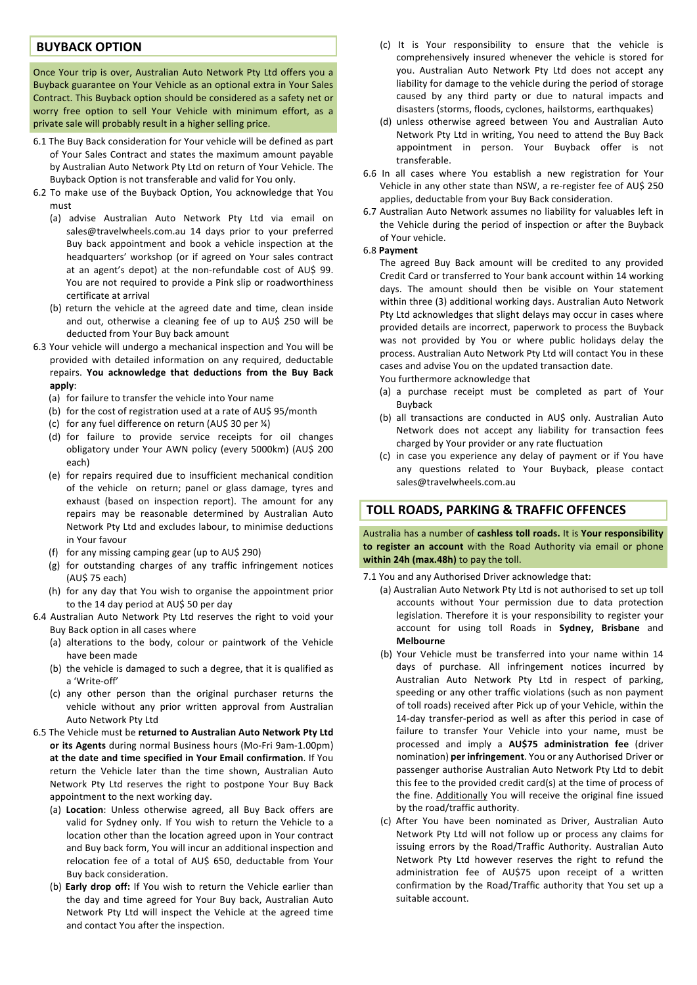### **BUYBACK OPTION**

Once Your trip is over, Australian Auto Network Pty Ltd offers you a Buyback guarantee on Your Vehicle as an optional extra in Your Sales Contract. This Buyback option should be considered as a safety net or worry free option to sell Your Vehicle with minimum effort, as a private sale will probably result in a higher selling price.

- 6.1 The Buy Back consideration for Your vehicle will be defined as part of Your Sales Contract and states the maximum amount payable by Australian Auto Network Pty Ltd on return of Your Vehicle. The Buyback Option is not transferable and valid for You only.
- 6.2 To make use of the Buyback Option, You acknowledge that You must
	- (a) advise Australian Auto Network Pty Ltd via email on sales@travelwheels.com.au 14 days prior to your preferred Buy back appointment and book a vehicle inspection at the headquarters' workshop (or if agreed on Your sales contract at an agent's depot) at the non-refundable cost of AU\$ 99. You are not required to provide a Pink slip or roadworthiness certificate at arrival
	- (b) return the vehicle at the agreed date and time, clean inside and out, otherwise a cleaning fee of up to AU\$ 250 will be deducted from Your Buy back amount
- 6.3 Your vehicle will undergo a mechanical inspection and You will be provided with detailed information on any required, deductable repairs. You acknowledge that deductions from the Buy Back **apply**:
	- (a) for failure to transfer the vehicle into Your name
	- (b) for the cost of registration used at a rate of AU\$ 95/month
	- (c) for any fuel difference on return (AU\$ 30 per  $\frac{1}{4}$ )
	- (d) for failure to provide service receipts for oil changes obligatory under Your AWN policy (every 5000km) (AU\$ 200 each)
	- (e) for repairs required due to insufficient mechanical condition of the vehicle on return; panel or glass damage, tyres and exhaust (based on inspection report). The amount for any repairs may be reasonable determined by Australian Auto Network Pty Ltd and excludes labour, to minimise deductions in Your favour
	- (f) for any missing camping gear (up to  $AU$$  290)
	- (g) for outstanding charges of any traffic infringement notices (AU\$ 75 each)
	- (h) for any day that You wish to organise the appointment prior to the 14 day period at AU\$ 50 per day
- 6.4 Australian Auto Network Pty Ltd reserves the right to void your Buy Back option in all cases where
	- (a) alterations to the body, colour or paintwork of the Vehicle have been made
	- (b) the vehicle is damaged to such a degree, that it is qualified as a 'Write-off'
	- (c) any other person than the original purchaser returns the vehicle without any prior written approval from Australian Auto Network Pty Ltd
- 6.5 The Vehicle must be returned to Australian Auto Network Pty Ltd **or its Agents** during normal Business hours (Mo-Fri 9am-1.00pm) at the date and time specified in Your Email confirmation. If You return the Vehicle later than the time shown, Australian Auto Network Pty Ltd reserves the right to postpone Your Buy Back appointment to the next working day.
	- (a) Location: Unless otherwise agreed, all Buy Back offers are valid for Sydney only. If You wish to return the Vehicle to a location other than the location agreed upon in Your contract and Buy back form, You will incur an additional inspection and relocation fee of a total of AU\$ 650, deductable from Your Buy back consideration.
	- (b) **Early drop off:** If You wish to return the Vehicle earlier than the day and time agreed for Your Buy back, Australian Auto Network Pty Ltd will inspect the Vehicle at the agreed time and contact You after the inspection.
- (c) It is Your responsibility to ensure that the vehicle is comprehensively insured whenever the vehicle is stored for you. Australian Auto Network Pty Ltd does not accept any liability for damage to the vehicle during the period of storage caused by any third party or due to natural impacts and disasters (storms, floods, cyclones, hailstorms, earthquakes)
- (d) unless otherwise agreed between You and Australian Auto Network Pty Ltd in writing, You need to attend the Buy Back appointment in person. Your Buyback offer is not transferable.
- 6.6 In all cases where You establish a new registration for Your Vehicle in any other state than NSW, a re-register fee of AU\$ 250 applies, deductable from your Buy Back consideration.
- 6.7 Australian Auto Network assumes no liability for valuables left in the Vehicle during the period of inspection or after the Buyback of Your vehicle.

#### 6.8#**Payment**

The agreed Buy Back amount will be credited to any provided Credit Card or transferred to Your bank account within 14 working days. The amount should then be visible on Your statement within three (3) additional working days. Australian Auto Network Pty Ltd acknowledges that slight delays may occur in cases where provided details are incorrect, paperwork to process the Buyback was not provided by You or where public holidays delay the process. Australian Auto Network Pty Ltd will contact You in these cases and advise You on the updated transaction date. You furthermore acknowledge that

- (a) a purchase receipt must be completed as part of Your Buyback
- (b) all transactions are conducted in AU\$ only. Australian Auto Network does not accept any liability for transaction fees charged by Your provider or any rate fluctuation
- (c) in case you experience any delay of payment or if You have any questions related to Your Buyback, please contact sales@travelwheels.com.au

### **)TOLL)ROADS,)PARKING)&)TRAFFIC)OFFENCES**

Australia has a number of cashless toll roads. It is Your responsibility to register an account with the Road Authority via email or phone within 24h (max.48h) to pay the toll.

- 7.1 You and any Authorised Driver acknowledge that:
	- (a) Australian Auto Network Pty Ltd is not authorised to set up toll accounts without Your permission due to data protection legislation. Therefore it is your responsibility to register your account for using toll Roads in Sydney, Brisbane and **Melbourne**
	- (b) Your Vehicle must be transferred into your name within 14 days of purchase. All infringement notices incurred by Australian Auto Network Pty Ltd in respect of parking, speeding or any other traffic violations (such as non payment of toll roads) received after Pick up of your Vehicle, within the 14-day transfer-period as well as after this period in case of failure to transfer Your Vehicle into your name, must be processed and imply a **AU\$75 administration fee** (driver nomination) **per infringement**. You or any Authorised Driver or passenger authorise Australian Auto Network Pty Ltd to debit this fee to the provided credit card(s) at the time of process of the fine. Additionally You will receive the original fine issued by the road/traffic authority.
	- (c) After You have been nominated as Driver, Australian Auto Network Pty Ltd will not follow up or process any claims for issuing errors by the Road/Traffic Authority. Australian Auto Network Pty Ltd however reserves the right to refund the administration fee of AU\$75 upon receipt of a written confirmation by the Road/Traffic authority that You set up a suitable account.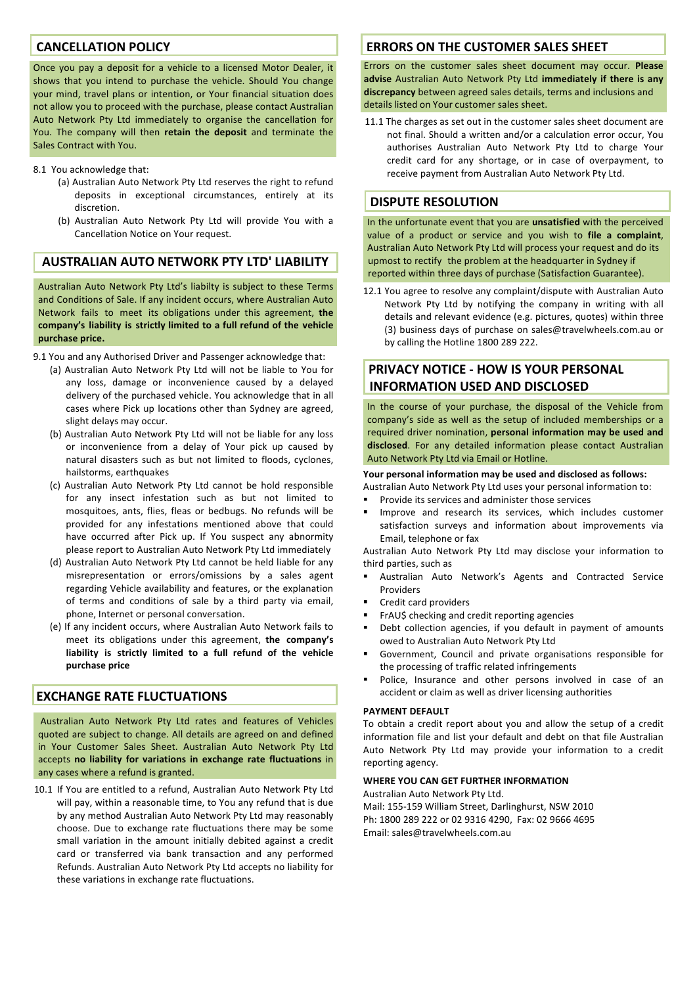# **CANCELLATION)POLICY**

Once you pay a deposit for a vehicle to a licensed Motor Dealer, it shows that you intend to purchase the vehicle. Should You change your mind, travel plans or intention, or Your financial situation does not allow you to proceed with the purchase, please contact Australian Auto Network Pty Ltd immediately to organise the cancellation for You. The company will then retain the deposit and terminate the Sales Contract with You.

- 8.1 You acknowledge that:
	- (a) Australian Auto Network Pty Ltd reserves the right to refund deposits in exceptional circumstances, entirely at its discretion.
	- (b) Australian Auto Network Pty Ltd will provide You with a Cancellation Notice on Your request.

# **AUSTRALIAN)AUTO)NETWORK)PTY)LTD')LIABILITY**

Australian Auto Network Pty Ltd's liabilty is subject to these Terms and Conditions of Sale. If any incident occurs, where Australian Auto Network fails to meet its obligations under this agreement, **the company's) liability is)strictly limited to a full refund of the) vehicle** purchase price.

9.1 You and any Authorised Driver and Passenger acknowledge that:

- (a) Australian Auto Network Pty Ltd will not be liable to You for any loss, damage or inconvenience caused by a delayed delivery of the purchased vehicle. You acknowledge that in all cases where Pick up locations other than Sydney are agreed, slight delays may occur.
- (b) Australian Auto Network Pty Ltd will not be liable for any loss or inconvenience from a delay of Your pick up caused by natural disasters such as but not limited to floods, cyclones, hailstorms, earthquakes
- (c) Australian Auto Network Pty Ltd cannot be hold responsible for any insect infestation such as but not limited to mosquitoes, ants, flies, fleas or bedbugs. No refunds will be provided for any infestations mentioned above that could have occurred after Pick up. If You suspect any abnormity please report to Australian Auto Network Pty Ltd immediately
- (d) Australian Auto Network Pty Ltd cannot be held liable for any misrepresentation or errors/omissions by a sales agent regarding Vehicle availability and features, or the explanation of terms and conditions of sale by a third party via email. phone, Internet or personal conversation.
- (e) If any incident occurs, where Australian Auto Network fails to meet its obligations under this agreement, the company's **liability is) strictly limited to a full refund of the) vehicle** purchase price

# **EXCHANGE RATE FLUCTUATIONS**

Australian Auto Network Pty Ltd rates and features of Vehicles quoted are subject to change. All details are agreed on and defined in Your Customer Sales Sheet. Australian Auto Network Pty Ltd accepts no liability for variations in exchange rate fluctuations in any cases where a refund is granted.

10.1 If You are entitled to a refund, Australian Auto Network Pty Ltd will pay, within a reasonable time, to You any refund that is due by any method Australian Auto Network Pty Ltd may reasonably choose. Due to exchange rate fluctuations there may be some small variation in the amount initially debited against a credit card or transferred via bank transaction and any performed Refunds. Australian Auto Network Pty Ltd accepts no liability for these variations in exchange rate fluctuations.

### **ERRORS ON THE CUSTOMER SALES SHEET**

Errors on the customer sales sheet document may occur. **Please** advise Australian Auto Network Pty Ltd **immediately if there is any** discrepancy between agreed sales details, terms and inclusions and details listed on Your customer sales sheet.

11.1 The charges as set out in the customer sales sheet document are not final. Should a written and/or a calculation error occur, You authorises Australian Auto Network Pty Ltd to charge Your credit card for any shortage, or in case of overpayment, to receive payment from Australian Auto Network Pty Ltd.

### **DISPUTE RESOLUTION**

In the unfortunate event that you are *unsatisfied* with the perceived value of a product or service and you wish to file a complaint, Australian Auto Network Pty Ltd will process your request and do its upmost to rectify the problem at the headquarter in Sydney if reported within three days of purchase (Satisfaction Guarantee).

12.1 You agree to resolve any complaint/dispute with Australian Auto Network Pty Ltd by notifying the company in writing with all details and relevant evidence (e.g. pictures, quotes) within three (3) business days of purchase on sales@travelwheels.com.au or by calling the Hotline 1800 289 222.

# **PRIVACY NOTICE - HOW IS YOUR PERSONAL )) INFORMATION)USED)AND)DISCLOSED**

In the course of your purchase, the disposal of the Vehicle from company's side as well as the setup of included memberships or a required driver nomination, **personal information may be used and** disclosed. For any detailed information please contact Australian Auto Network Pty Ltd via Email or Hotline.

### Your personal information may be used and disclosed as follows:

Australian Auto Network Pty Ltd uses your personal information to:

- Provide its services and administer those services
- Improve and research its services, which includes customer satisfaction surveys and information about improvements via Email, telephone or fax

Australian Auto Network Pty Ltd may disclose your information to third parties, such as

- Australian Auto Network's Agents and Contracted Service Providers
- Credit card providers
- FrAU\$ checking and credit reporting agencies
- Debt collection agencies, if you default in payment of amounts owed to Australian Auto Network Pty Ltd
- Government, Council and private organisations responsible for the processing of traffic related infringements
- Police, Insurance and other persons involved in case of an accident or claim as well as driver licensing authorities

#### **PAYMENT DEFAULT**

To obtain a credit report about you and allow the setup of a credit information file and list your default and debt on that file Australian Auto Network Pty Ltd may provide your information to a credit reporting agency.

#### WHERE YOU CAN GET FURTHER INFORMATION

Australian Auto Network Pty Ltd.

Mail: 155-159 William Street, Darlinghurst, NSW 2010 Ph: 1800 289 222 or 02 9316 4290, Fax: 02 9666 4695 Email:#sales@travelwheels.com.au